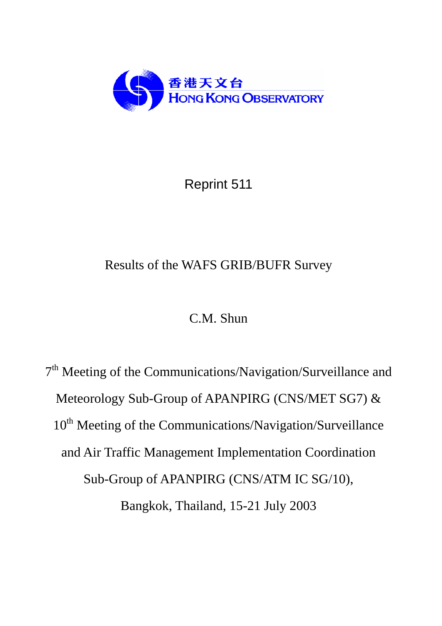

# Reprint 511

# Results of the WAFS GRIB/BUFR Survey

# C.M. Shun

7<sup>th</sup> Meeting of the Communications/Navigation/Surveillance and Meteorology Sub-Group of APANPIRG (CNS/MET SG7) & 10<sup>th</sup> Meeting of the Communications/Navigation/Surveillance and Air Traffic Management Implementation Coordination Sub-Group of APANPIRG (CNS/ATM IC SG/10), Bangkok, Thailand, 15-21 July 2003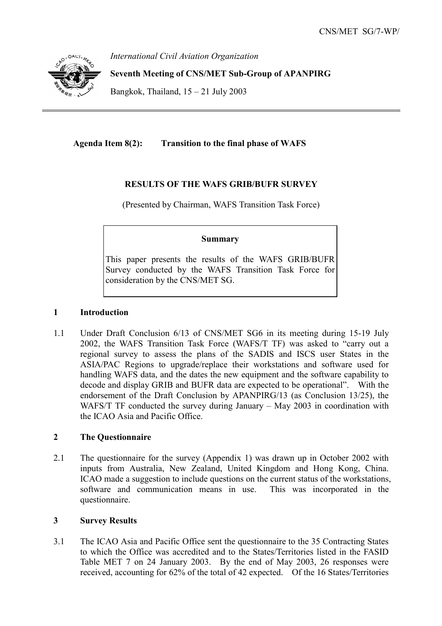

*International Civil Aviation Organization* 

**Seventh Meeting of CNS/MET Sub-Group of APANPIRG** 

Bangkok, Thailand,  $15 - 21$  July 2003

**Agenda Item 8(2): Transition to the final phase of WAFS** 

## **RESULTS OF THE WAFS GRIB/BUFR SURVEY**

(Presented by Chairman, WAFS Transition Task Force)

### **Summary**

This paper presents the results of the WAFS GRIB/BUFR Survey conducted by the WAFS Transition Task Force for consideration by the CNS/MET SG.

### **1 Introduction**

1.1 Under Draft Conclusion 6/13 of CNS/MET SG6 in its meeting during 15-19 July 2002, the WAFS Transition Task Force (WAFS/T TF) was asked to "carry out a regional survey to assess the plans of the SADIS and ISCS user States in the ASIA/PAC Regions to upgrade/replace their workstations and software used for handling WAFS data, and the dates the new equipment and the software capability to decode and display GRIB and BUFR data are expected to be operational". With the endorsement of the Draft Conclusion by APANPIRG/13 (as Conclusion 13/25), the WAFS/T TF conducted the survey during January – May 2003 in coordination with the ICAO Asia and Pacific Office.

### **2 The Questionnaire**

2.1 The questionnaire for the survey (Appendix 1) was drawn up in October 2002 with inputs from Australia, New Zealand, United Kingdom and Hong Kong, China. ICAO made a suggestion to include questions on the current status of the workstations, software and communication means in use. This was incorporated in the questionnaire.

## **3 Survey Results**

3.1 The ICAO Asia and Pacific Office sent the questionnaire to the 35 Contracting States to which the Office was accredited and to the States/Territories listed in the FASID Table MET 7 on 24 January 2003. By the end of May 2003, 26 responses were received, accounting for 62% of the total of 42 expected. Of the 16 States/Territories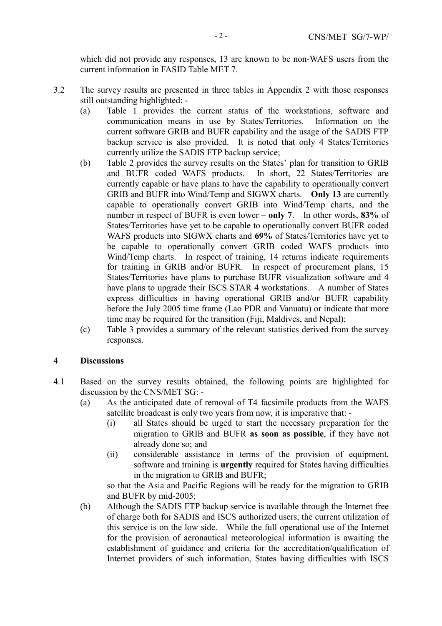which did not provide any responses, 13 are known to be non-WAFS users from the current information in FASID Table MET 7.

- 3.2 The survey results are presented in three tables in Appendix 2 with those responses still outstanding highlighted: -
	- (a) Table 1 provides the current status of the workstations, software and communication means in use by States/Territories. Information on the current software GRIB and BUFR capability and the usage of the SADIS FTP backup service is also provided. It is noted that only 4 States/Territories currently utilize the SADIS FTP backup service;
	- (b) Table 2 provides the survey results on the States' plan for transition to GRIB and BUFR coded WAFS products. In short, 22 States/Territories are currently capable or have plans to have the capability to operationally convert GRIB and BUFR into Wind/Temp and SIGWX charts. **Only 13** are currently capable to operationally convert GRIB into Wind/Temp charts, and the number in respect of BUFR is even lower – **only 7**. In other words, **83%** of States/Territories have yet to be capable to operationally convert BUFR coded WAFS products into SIGWX charts and **69%** of States/Territories have yet to be capable to operationally convert GRIB coded WAFS products into Wind/Temp charts. In respect of training, 14 returns indicate requirements for training in GRIB and/or BUFR. In respect of procurement plans, 15 States/Territories have plans to purchase BUFR visualization software and 4 have plans to upgrade their ISCS STAR 4 workstations. A number of States express difficulties in having operational GRIB and/or BUFR capability before the July 2005 time frame (Lao PDR and Vanuatu) or indicate that more time may be required for the transition (Fiji, Maldives, and Nepal);
	- (c) Table 3 provides a summary of the relevant statistics derived from the survey responses.

#### **4 Discussions**

- 4.1 Based on the survey results obtained, the following points are highlighted for discussion by the CNS/MET SG: -
	- (a) As the anticipated date of removal of T4 facsimile products from the WAFS satellite broadcast is only two years from now, it is imperative that: -
		- (i) all States should be urged to start the necessary preparation for the migration to GRIB and BUFR **as soon as possible**, if they have not already done so; and
		- (ii) considerable assistance in terms of the provision of equipment, software and training is **urgently** required for States having difficulties in the migration to GRIB and BUFR;

so that the Asia and Pacific Regions will be ready for the migration to GRIB and BUFR by mid-2005;

(b) Although the SADIS FTP backup service is available through the Internet free of charge both for SADIS and ISCS authorized users, the current utilization of this service is on the low side. While the full operational use of the Internet for the provision of aeronautical meteorological information is awaiting the establishment of guidance and criteria for the accreditation/qualification of Internet providers of such information, States having difficulties with ISCS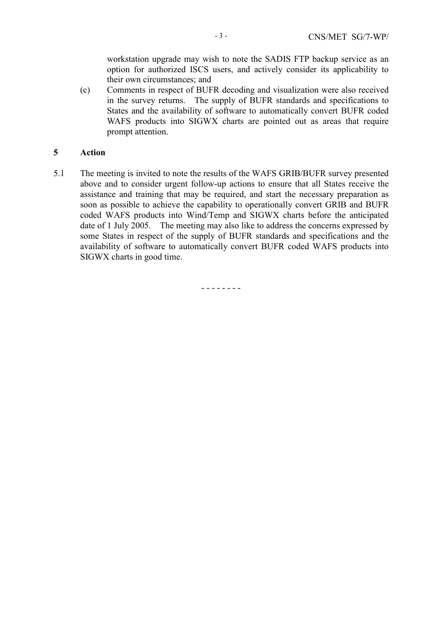workstation upgrade may wish to note the SADIS FTP backup service as an option for authorized ISCS users, and actively consider its applicability to their own circumstances; and

(c) Comments in respect of BUFR decoding and visualization were also received in the survey returns. The supply of BUFR standards and specifications to States and the availability of software to automatically convert BUFR coded WAFS products into SIGWX charts are pointed out as areas that require prompt attention.

#### **5 Action**

5.1 The meeting is invited to note the results of the WAFS GRIB/BUFR survey presented above and to consider urgent follow-up actions to ensure that all States receive the assistance and training that may be required, and start the necessary preparation as soon as possible to achieve the capability to operationally convert GRIB and BUFR coded WAFS products into Wind/Temp and SIGWX charts before the anticipated date of 1 July 2005. The meeting may also like to address the concerns expressed by some States in respect of the supply of BUFR standards and specifications and the availability of software to automatically convert BUFR coded WAFS products into SIGWX charts in good time.

- - - - - - - -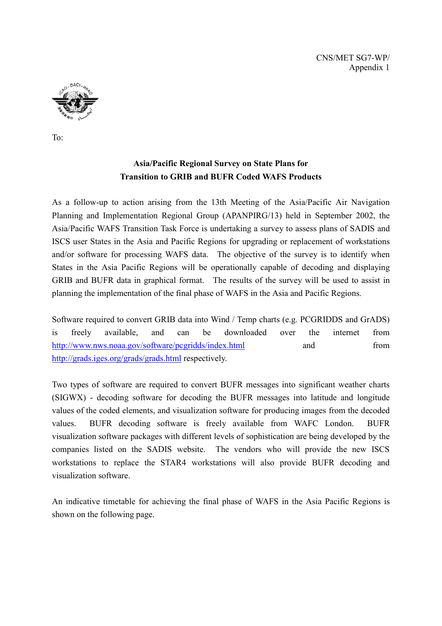CNS/MET SG7-WP/ Appendix 1



To:

## **Asia/Pacific Regional Survey on State Plans for Transition to GRIB and BUFR Coded WAFS Products**

As a follow-up to action arising from the 13th Meeting of the Asia/Pacific Air Navigation Planning and Implementation Regional Group (APANPIRG/13) held in September 2002, the Asia/Pacific WAFS Transition Task Force is undertaking a survey to assess plans of SADIS and ISCS user States in the Asia and Pacific Regions for upgrading or replacement of workstations and/or software for processing WAFS data. The objective of the survey is to identify when States in the Asia Pacific Regions will be operationally capable of decoding and displaying GRIB and BUFR data in graphical format. The results of the survey will be used to assist in planning the implementation of the final phase of WAFS in the Asia and Pacific Regions.

Software required to convert GRIB data into Wind / Temp charts (e.g. PCGRIDDS and GrADS) is freely available, and can be downloaded over the internet from http://www.nws.noaa.gov/software/pcgridds/index.html and from http://grads.iges.org/grads/grads.html respectively.

Two types of software are required to convert BUFR messages into significant weather charts (SIGWX) - decoding software for decoding the BUFR messages into latitude and longitude values of the coded elements, and visualization software for producing images from the decoded values. BUFR decoding software is freely available from WAFC London. BUFR visualization software packages with different levels of sophistication are being developed by the companies listed on the SADIS website. The vendors who will provide the new ISCS workstations to replace the STAR4 workstations will also provide BUFR decoding and visualization software.

An indicative timetable for achieving the final phase of WAFS in the Asia Pacific Regions is shown on the following page.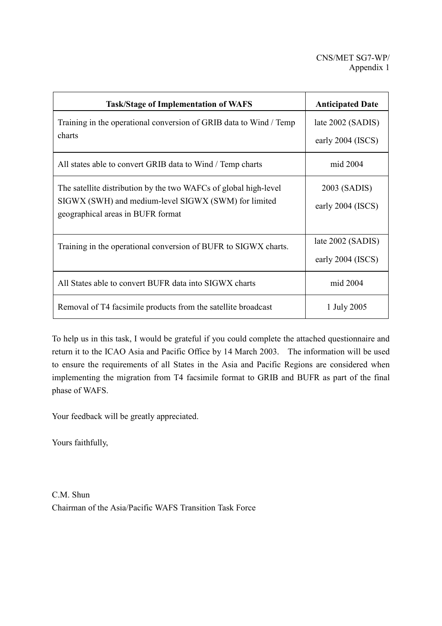| <b>Task/Stage of Implementation of WAFS</b>                                               | <b>Anticipated Date</b> |
|-------------------------------------------------------------------------------------------|-------------------------|
| Training in the operational conversion of GRIB data to Wind / Temp                        | late 2002 (SADIS)       |
| charts                                                                                    | early 2004 (ISCS)       |
| All states able to convert GRIB data to Wind / Temp charts                                | mid 2004                |
| The satellite distribution by the two WAFCs of global high-level                          | 2003 (SADIS)            |
| SIGWX (SWH) and medium-level SIGWX (SWM) for limited<br>geographical areas in BUFR format | early 2004 (ISCS)       |
|                                                                                           |                         |
| Training in the operational conversion of BUFR to SIGWX charts.                           | late 2002 (SADIS)       |
|                                                                                           | early 2004 (ISCS)       |
| All States able to convert BUFR data into SIGWX charts                                    | mid 2004                |
| Removal of T4 facsimile products from the satellite broadcast                             | 1 July 2005             |

To help us in this task, I would be grateful if you could complete the attached questionnaire and return it to the ICAO Asia and Pacific Office by 14 March 2003. The information will be used to ensure the requirements of all States in the Asia and Pacific Regions are considered when implementing the migration from T4 facsimile format to GRIB and BUFR as part of the final phase of WAFS.

Your feedback will be greatly appreciated.

Yours faithfully,

C.M. Shun Chairman of the Asia/Pacific WAFS Transition Task Force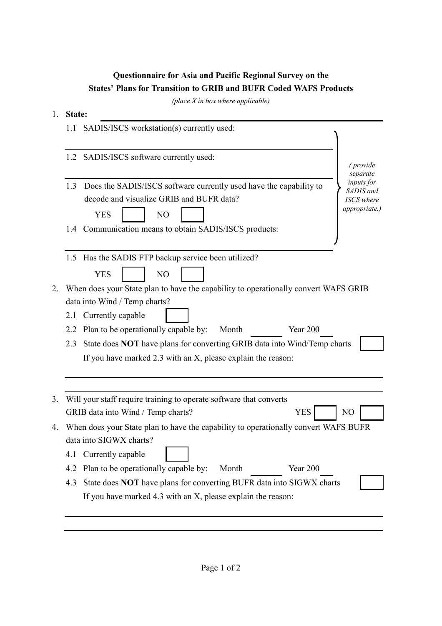# **Questionnaire for Asia and Pacific Regional Survey on the States' Plans for Transition to GRIB and BUFR Coded WAFS Products**

*(place X in box where applicable)*

### 1. **State:**

|    | 1.1 | SADIS/ISCS workstation(s) currently used:                                                                                          |                                                               |
|----|-----|------------------------------------------------------------------------------------------------------------------------------------|---------------------------------------------------------------|
|    |     | 1.2 SADIS/ISCS software currently used:                                                                                            | ( <i>provide</i><br>separate                                  |
|    | 1.3 | Does the SADIS/ISCS software currently used have the capability to<br>decode and visualize GRIB and BUFR data?<br><b>YES</b><br>NO | inputs for<br>SADIS and<br><b>ISCS</b> where<br>appropriate.) |
|    |     | 1.4 Communication means to obtain SADIS/ISCS products:                                                                             |                                                               |
|    |     | 1.5 Has the SADIS FTP backup service been utilized?<br><b>YES</b><br>N <sub>O</sub>                                                |                                                               |
| 2. |     | When does your State plan to have the capability to operationally convert WAFS GRIB                                                |                                                               |
|    |     | data into Wind / Temp charts?                                                                                                      |                                                               |
|    | 2.1 | Currently capable                                                                                                                  |                                                               |
|    | 2.2 | Plan to be operationally capable by:<br>Month<br>Year 200                                                                          |                                                               |
|    | 2.3 | State does NOT have plans for converting GRIB data into Wind/Temp charts                                                           |                                                               |
|    |     | If you have marked 2.3 with an X, please explain the reason:                                                                       |                                                               |
|    |     |                                                                                                                                    |                                                               |
| 3. |     | Will your staff require training to operate software that converts                                                                 |                                                               |
|    |     | <b>YES</b><br>GRIB data into Wind / Temp charts?                                                                                   | NO                                                            |
| 4. |     | When does your State plan to have the capability to operationally convert WAFS BUFR                                                |                                                               |
|    |     | data into SIGWX charts?                                                                                                            |                                                               |
|    | 4.1 | Currently capable                                                                                                                  |                                                               |
|    | 4.2 | Plan to be operationally capable by:<br>Year 200<br>Month                                                                          |                                                               |
|    | 4.3 | State does NOT have plans for converting BUFR data into SIGWX charts                                                               |                                                               |
|    |     | If you have marked 4.3 with an X, please explain the reason:                                                                       |                                                               |
|    |     |                                                                                                                                    |                                                               |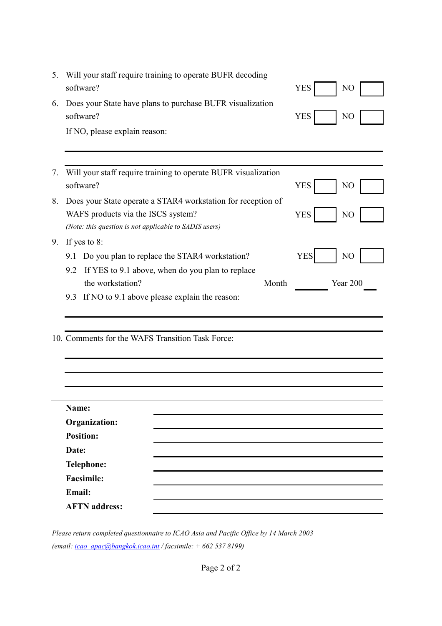| 5. | Will your staff require training to operate BUFR decoding                                    |       |            |                |
|----|----------------------------------------------------------------------------------------------|-------|------------|----------------|
|    | software?                                                                                    |       | <b>YES</b> | NO             |
| 6. | Does your State have plans to purchase BUFR visualization<br>software?                       |       | <b>YES</b> | N <sub>O</sub> |
|    | If NO, please explain reason:                                                                |       |            |                |
|    |                                                                                              |       |            |                |
| 7. | Will your staff require training to operate BUFR visualization<br>software?                  |       | <b>YES</b> | N <sub>O</sub> |
| 8. | Does your State operate a STAR4 workstation for reception of                                 |       |            |                |
|    | WAFS products via the ISCS system?<br>(Note: this question is not applicable to SADIS users) |       | <b>YES</b> | N <sub>O</sub> |
| 9. | If yes to 8:                                                                                 |       |            |                |
|    | Do you plan to replace the STAR4 workstation?<br>9.1                                         |       | <b>YES</b> | N <sub>O</sub> |
|    | If YES to 9.1 above, when do you plan to replace<br>9.2                                      |       |            |                |
|    | the workstation?                                                                             | Month |            | Year 200       |
|    | If NO to 9.1 above please explain the reason:<br>9.3                                         |       |            |                |
|    |                                                                                              |       |            |                |
|    | 10. Comments for the WAFS Transition Task Force:                                             |       |            |                |
|    |                                                                                              |       |            |                |
|    |                                                                                              |       |            |                |
|    |                                                                                              |       |            |                |
|    | Name:                                                                                        |       |            |                |
|    | <b>Organization:</b>                                                                         |       |            |                |
|    | <b>Position:</b>                                                                             |       |            |                |
|    | Date:                                                                                        |       |            |                |
|    | <b>Telephone:</b>                                                                            |       |            |                |
|    | <b>Facsimile:</b>                                                                            |       |            |                |
|    | Email:                                                                                       |       |            |                |
|    | <b>AFTN</b> address:                                                                         |       |            |                |

*Please return completed questionnaire to ICAO Asia and Pacific Office by 14 March 2003 (email: icao\_apac@bangkok.icao.int / facsimile: + 662 537 8199)*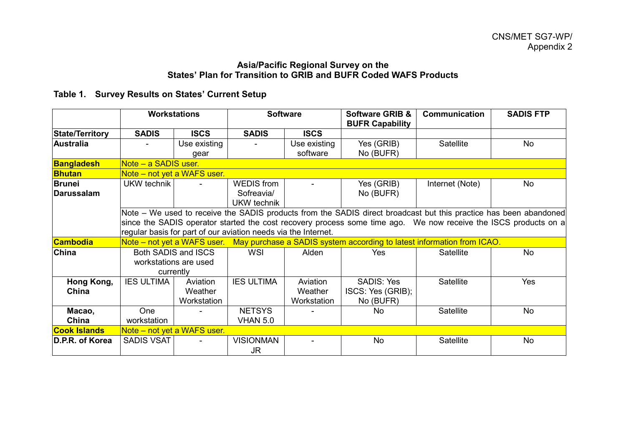#### **Asia/Pacific Regional Survey on the States' Plan for Transition to GRIB and BUFR Coded WAFS Products**

# **Table 1. Survey Results on States' Current Setup**

|                        | <b>Workstations</b>         |                     |                                                                | <b>Software</b> | <b>Software GRIB &amp;</b><br><b>BUFR Capability</b>                                                              | Communication   | <b>SADIS FTP</b> |
|------------------------|-----------------------------|---------------------|----------------------------------------------------------------|-----------------|-------------------------------------------------------------------------------------------------------------------|-----------------|------------------|
| <b>State/Territory</b> | <b>SADIS</b>                | <b>ISCS</b>         | <b>SADIS</b>                                                   | <b>ISCS</b>     |                                                                                                                   |                 |                  |
| <b>Australia</b>       |                             | Use existing        |                                                                | Use existing    | Yes (GRIB)                                                                                                        | Satellite       | No               |
|                        |                             | qear                |                                                                | software        | No (BUFR)                                                                                                         |                 |                  |
| <b>Bangladesh</b>      | Note - a SADIS user.        |                     |                                                                |                 |                                                                                                                   |                 |                  |
| <b>Bhutan</b>          | Note – not yet a WAFS user. |                     |                                                                |                 |                                                                                                                   |                 |                  |
| <b>Brunei</b>          | UKW technik                 |                     | <b>WEDIS</b> from                                              |                 | Yes (GRIB)                                                                                                        | Internet (Note) | No               |
| <b>Darussalam</b>      |                             |                     | Sofreavia/                                                     |                 | No (BUFR)                                                                                                         |                 |                  |
|                        |                             |                     | UKW technik                                                    |                 |                                                                                                                   |                 |                  |
|                        |                             |                     |                                                                |                 | Note – We used to receive the SADIS products from the SADIS direct broadcast but this practice has been abandoned |                 |                  |
|                        |                             |                     |                                                                |                 | since the SADIS operator started the cost recovery process some time ago. We now receive the ISCS products on a   |                 |                  |
|                        |                             |                     | regular basis for part of our aviation needs via the Internet. |                 |                                                                                                                   |                 |                  |
| <b>Cambodia</b>        |                             |                     |                                                                |                 | Note – not yet a WAFS user. May purchase a SADIS system according to latest information from ICAO.                |                 |                  |
| <b>China</b>           |                             | Both SADIS and ISCS | <b>WSI</b>                                                     | Alden           | <b>Yes</b>                                                                                                        | Satellite       | No               |
|                        | workstations are used       |                     |                                                                |                 |                                                                                                                   |                 |                  |
|                        |                             | currently           |                                                                |                 |                                                                                                                   |                 |                  |
| Hong Kong,             | <b>IES ULTIMA</b>           | Aviation            | <b>IES ULTIMA</b>                                              | Aviation        | <b>SADIS: Yes</b>                                                                                                 | Satellite       | Yes              |
| China                  |                             | Weather             |                                                                | Weather         | ISCS: Yes (GRIB);                                                                                                 |                 |                  |
|                        |                             | Workstation         |                                                                | Workstation     | No (BUFR)                                                                                                         |                 |                  |
| Macao,                 | One                         |                     | <b>NETSYS</b>                                                  |                 | <b>No</b>                                                                                                         | Satellite       | No               |
| China                  | workstation                 |                     | <b>VHAN 5.0</b>                                                |                 |                                                                                                                   |                 |                  |
| <b>Cook Islands</b>    | Note - not yet a WAFS user. |                     |                                                                |                 |                                                                                                                   |                 |                  |
| D.P.R. of Korea        | <b>SADIS VSAT</b>           |                     | <b>VISIONMAN</b><br>JR.                                        |                 | <b>No</b>                                                                                                         | Satellite       | <b>No</b>        |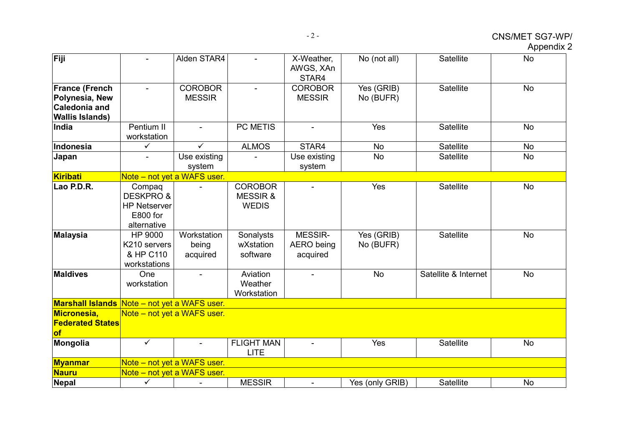# CNS/MET SG7-WP/

Appendix 2

| Fiji                                                                               |                                                                                  | Alden STAR4                      |                                                      | X-Weather,<br>AWGS, XAn                  | No (not all)            | Satellite            | <b>No</b> |
|------------------------------------------------------------------------------------|----------------------------------------------------------------------------------|----------------------------------|------------------------------------------------------|------------------------------------------|-------------------------|----------------------|-----------|
| <b>France (French</b><br>Polynesia, New<br>Caledonia and<br><b>Wallis Islands)</b> |                                                                                  | <b>COROBOR</b><br><b>MESSIR</b>  |                                                      | STAR4<br><b>COROBOR</b><br><b>MESSIR</b> | Yes (GRIB)<br>No (BUFR) | Satellite            | <b>No</b> |
| India                                                                              | Pentium II<br>workstation                                                        | $\blacksquare$                   | PC METIS                                             | $\blacksquare$                           | Yes                     | Satellite            | <b>No</b> |
| Indonesia                                                                          | ✓                                                                                | ✓                                | <b>ALMOS</b>                                         | STAR4                                    | <b>No</b>               | Satellite            | <b>No</b> |
| Japan                                                                              |                                                                                  | Use existing<br>system           |                                                      | Use existing<br>system                   | <b>No</b>               | Satellite            | <b>No</b> |
| Kiribati                                                                           |                                                                                  | Note - not yet a WAFS user.      |                                                      |                                          |                         |                      |           |
| Lao P.D.R.                                                                         | Compaq<br><b>DESKPRO &amp;</b><br><b>HP Netserver</b><br>E800 for<br>alternative |                                  | <b>COROBOR</b><br><b>MESSIR&amp;</b><br><b>WEDIS</b> |                                          | Yes                     | Satellite            | <b>No</b> |
| Malaysia                                                                           | HP 9000<br>K210 servers<br>& HP C110<br>workstations                             | Workstation<br>being<br>acquired | Sonalysts<br>wXstation<br>software                   | <b>MESSIR-</b><br>AERO being<br>acquired | Yes (GRIB)<br>No (BUFR) | <b>Satellite</b>     | <b>No</b> |
| <b>Maldives</b>                                                                    | One<br>workstation                                                               |                                  | Aviation<br>Weather<br>Workstation                   |                                          | <b>No</b>               | Satellite & Internet | <b>No</b> |
| Marshall Islands Note - not yet a WAFS user.                                       |                                                                                  |                                  |                                                      |                                          |                         |                      |           |
| <b>Micronesia,</b><br><b>Federated States</b><br>of                                | Note – not yet a WAFS user.                                                      |                                  |                                                      |                                          |                         |                      |           |
| Mongolia                                                                           | $\checkmark$                                                                     |                                  | <b>FLIGHT MAN</b><br><b>LITE</b>                     |                                          | Yes                     | <b>Satellite</b>     | <b>No</b> |
| <b>Myanmar</b>                                                                     | Note - not yet a WAFS user.                                                      |                                  |                                                      |                                          |                         |                      |           |
| <b>Nauru</b>                                                                       | Note - not yet a WAFS user.                                                      |                                  |                                                      |                                          |                         |                      |           |
| Nepal                                                                              | $\checkmark$                                                                     |                                  | <b>MESSIR</b>                                        |                                          | Yes (only GRIB)         | <b>Satellite</b>     | <b>No</b> |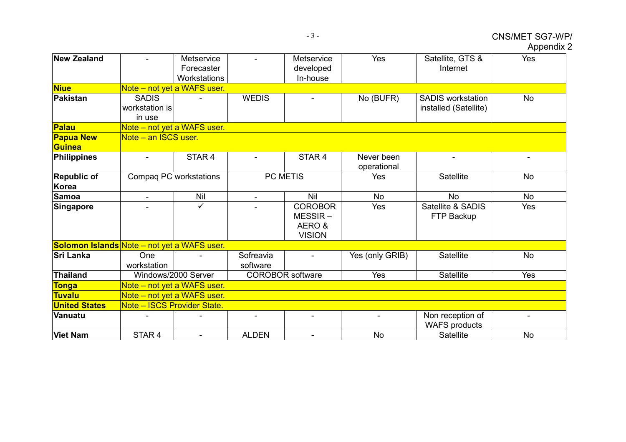|  |  |  | <b>Appendix 2</b> |
|--|--|--|-------------------|
|  |  |  |                   |

| <b>New Zealand</b>                          |                                          | Metservice<br>Forecaster<br>Workstations |                          | Metservice<br>developed<br>In-house                    | Yes                       | Satellite, GTS &<br>Internet                      | Yes       |
|---------------------------------------------|------------------------------------------|------------------------------------------|--------------------------|--------------------------------------------------------|---------------------------|---------------------------------------------------|-----------|
| <b>Niue</b>                                 |                                          | Note – not yet a WAFS user.              |                          |                                                        |                           |                                                   |           |
| Pakistan                                    | <b>SADIS</b><br>workstation is<br>in use |                                          | <b>WEDIS</b>             |                                                        | No (BUFR)                 | <b>SADIS workstation</b><br>installed (Satellite) | <b>No</b> |
| Palau                                       |                                          | Note - not yet a WAFS user.              |                          |                                                        |                           |                                                   |           |
| <b>Papua New</b><br>Guinea                  | Note – an ISCS user.                     |                                          |                          |                                                        |                           |                                                   |           |
| Philippines                                 |                                          | STAR <sub>4</sub>                        |                          | STAR 4                                                 | Never been<br>operational |                                                   |           |
| <b>Republic of</b><br>Korea                 |                                          | Compaq PC workstations                   | PC METIS                 |                                                        | Yes                       | Satellite                                         | <b>No</b> |
| <b>Samoa</b>                                | $\blacksquare$                           | Nil                                      | $\overline{\phantom{a}}$ | Nil                                                    | <b>No</b>                 | <b>No</b>                                         | <b>No</b> |
| Singapore                                   |                                          | $\checkmark$                             |                          | <b>COROBOR</b><br>$MESSIR -$<br>AERO&<br><b>VISION</b> | Yes                       | Satellite & SADIS<br>FTP Backup                   | Yes       |
| Solomon Islands Note - not yet a WAFS user. |                                          |                                          |                          |                                                        |                           |                                                   |           |
| <b>İSri Lanka</b>                           | One<br>workstation                       |                                          | Sofreavia<br>software    |                                                        | Yes (only GRIB)           | Satellite                                         | <b>No</b> |
| Thailand                                    |                                          | Windows/2000 Server                      |                          | <b>COROBOR</b> software                                | Yes                       | Satellite                                         | Yes       |
| <b>Tonga</b>                                |                                          | Note – not yet a WAFS user.              |                          |                                                        |                           |                                                   |           |
| <b>Tuvalu</b>                               |                                          | Note – not yet a WAFS user.              |                          |                                                        |                           |                                                   |           |
| <b>United States</b>                        | Note - ISCS Provider State.              |                                          |                          |                                                        |                           |                                                   |           |
| Vanuatu                                     |                                          |                                          |                          |                                                        | ۰                         | Non reception of<br><b>WAFS</b> products          |           |
| <b>Viet Nam</b>                             | STAR 4                                   |                                          | <b>ALDEN</b>             |                                                        | <b>No</b>                 | Satellite                                         | <b>No</b> |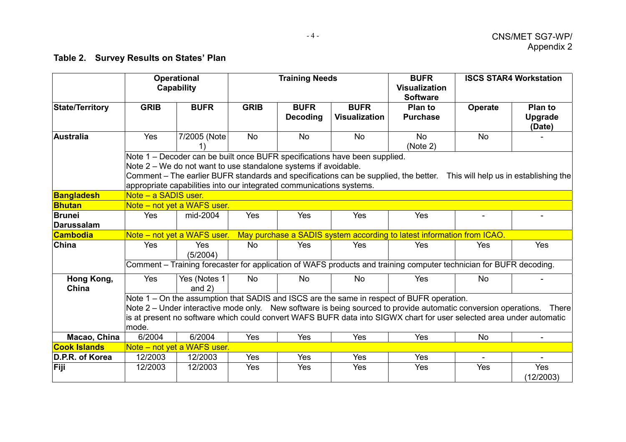# **Table 2. Survey Results on States' Plan**

|                                    |                                                                                                                                                                                                                                                                                                                                                      | <b>Operational</b><br>Capability |             | <b>Training Needs</b>          |                                     | <b>BUFR</b><br><b>Visualization</b>                                                                                |                | <b>ISCS STAR4 Workstation</b>       |
|------------------------------------|------------------------------------------------------------------------------------------------------------------------------------------------------------------------------------------------------------------------------------------------------------------------------------------------------------------------------------------------------|----------------------------------|-------------|--------------------------------|-------------------------------------|--------------------------------------------------------------------------------------------------------------------|----------------|-------------------------------------|
|                                    |                                                                                                                                                                                                                                                                                                                                                      |                                  |             |                                |                                     | <b>Software</b>                                                                                                    |                |                                     |
| <b>State/Territory</b>             | <b>GRIB</b>                                                                                                                                                                                                                                                                                                                                          | <b>BUFR</b>                      | <b>GRIB</b> | <b>BUFR</b><br><b>Decoding</b> | <b>BUFR</b><br><b>Visualization</b> | <b>Plan to</b><br><b>Purchase</b>                                                                                  | <b>Operate</b> | <b>Plan to</b><br>Upgrade<br>(Date) |
| Australia                          | Yes                                                                                                                                                                                                                                                                                                                                                  | 7/2005 (Note                     | <b>No</b>   | <b>No</b>                      | <b>No</b>                           | <b>No</b><br>(Note 2)                                                                                              | <b>No</b>      |                                     |
|                                    | Note 1 – Decoder can be built once BUFR specifications have been supplied.<br>Note 2 – We do not want to use standalone systems if avoidable.<br>Comment - The earlier BUFR standards and specifications can be supplied, the better.  This will help us in establishing the<br>appropriate capabilities into our integrated communications systems. |                                  |             |                                |                                     |                                                                                                                    |                |                                     |
| <b>Bangladesh</b>                  | Note - a SADIS user.                                                                                                                                                                                                                                                                                                                                 |                                  |             |                                |                                     |                                                                                                                    |                |                                     |
| <b>Bhutan</b>                      |                                                                                                                                                                                                                                                                                                                                                      | Note – not yet a WAFS user.      |             |                                |                                     |                                                                                                                    |                |                                     |
| <b>Brunei</b><br><b>Darussalam</b> | Yes                                                                                                                                                                                                                                                                                                                                                  | mid-2004                         | Yes         | Yes                            | Yes                                 | Yes                                                                                                                |                |                                     |
| <b>Cambodia</b>                    |                                                                                                                                                                                                                                                                                                                                                      | Note – not yet a WAFS user.      |             |                                |                                     | May purchase a SADIS system according to latest information from ICAO.                                             |                |                                     |
| China                              | Yes                                                                                                                                                                                                                                                                                                                                                  | Yes<br>(5/2004)                  | <b>No</b>   | <b>Yes</b>                     | Yes                                 | <b>Yes</b>                                                                                                         | Yes            | Yes                                 |
|                                    |                                                                                                                                                                                                                                                                                                                                                      |                                  |             |                                |                                     | Comment - Training forecaster for application of WAFS products and training computer technician for BUFR decoding. |                |                                     |
| Hong Kong,<br>China                | Yes                                                                                                                                                                                                                                                                                                                                                  | Yes (Notes 1<br>and $2)$         | <b>No</b>   | <b>No</b>                      | <b>No</b>                           | Yes                                                                                                                | <b>No</b>      |                                     |
|                                    | Note 1 – On the assumption that SADIS and ISCS are the same in respect of BUFR operation.<br>Note 2 – Under interactive mode only. New software is being sourced to provide automatic conversion operations. There<br>is at present no software which could convert WAFS BUFR data into SIGWX chart for user selected area under automatic<br>mode.  |                                  |             |                                |                                     |                                                                                                                    |                |                                     |
| Macao, China                       | 6/2004                                                                                                                                                                                                                                                                                                                                               | 6/2004                           | Yes         | Yes                            | Yes                                 | Yes                                                                                                                | <b>No</b>      |                                     |
| <b>Cook Islands</b>                |                                                                                                                                                                                                                                                                                                                                                      | Note – not yet a WAFS user.      |             |                                |                                     |                                                                                                                    |                |                                     |
| D.P.R. of Korea                    | 12/2003                                                                                                                                                                                                                                                                                                                                              | 12/2003                          | Yes         | Yes                            | Yes                                 | Yes                                                                                                                |                |                                     |
| Fiji                               | 12/2003                                                                                                                                                                                                                                                                                                                                              | 12/2003                          | Yes         | Yes                            | Yes                                 | Yes                                                                                                                | Yes            | Yes<br>(12/2003)                    |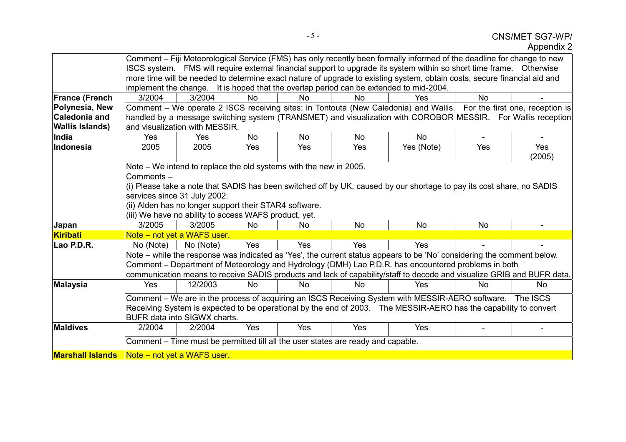|                         |                                                                                                                                                                                                                    |                             |           |                                                                   |                                                                                  | Comment – Fiji Meteorological Service (FMS) has only recently been formally informed of the deadline for change to new |           |               |
|-------------------------|--------------------------------------------------------------------------------------------------------------------------------------------------------------------------------------------------------------------|-----------------------------|-----------|-------------------------------------------------------------------|----------------------------------------------------------------------------------|------------------------------------------------------------------------------------------------------------------------|-----------|---------------|
|                         |                                                                                                                                                                                                                    |                             |           |                                                                   |                                                                                  | ISCS system. FMS will require external financial support to upgrade its system within so short time frame. Otherwise   |           |               |
|                         |                                                                                                                                                                                                                    |                             |           |                                                                   |                                                                                  |                                                                                                                        |           |               |
|                         | more time will be needed to determine exact nature of upgrade to existing system, obtain costs, secure financial aid and<br>implement the change. It is hoped that the overlap period can be extended to mid-2004. |                             |           |                                                                   |                                                                                  |                                                                                                                        |           |               |
| <b>France (French</b>   | 3/2004                                                                                                                                                                                                             | 3/2004                      | <b>No</b> | No                                                                | No                                                                               | Yes                                                                                                                    | <b>No</b> |               |
| Polynesia, New          |                                                                                                                                                                                                                    |                             |           |                                                                   |                                                                                  | Comment – We operate 2 ISCS receiving sites: in Tontouta (New Caledonia) and Wallis. For the first one, reception is   |           |               |
| <b>Caledonia and</b>    |                                                                                                                                                                                                                    |                             |           |                                                                   |                                                                                  | handled by a message switching system (TRANSMET) and visualization with COROBOR MESSIR. For Wallis reception           |           |               |
| <b>Wallis Islands)</b>  | and visualization with MESSIR.                                                                                                                                                                                     |                             |           |                                                                   |                                                                                  |                                                                                                                        |           |               |
| India                   | Yes                                                                                                                                                                                                                |                             |           | <b>No</b>                                                         |                                                                                  |                                                                                                                        |           |               |
|                         |                                                                                                                                                                                                                    | Yes                         | <b>No</b> |                                                                   | <b>No</b>                                                                        | <b>No</b>                                                                                                              |           |               |
| Indonesia               | 2005                                                                                                                                                                                                               | 2005                        | Yes       | Yes                                                               | Yes                                                                              | Yes (Note)                                                                                                             | Yes       | Yes<br>(2005) |
|                         |                                                                                                                                                                                                                    |                             |           | Note – We intend to replace the old systems with the new in 2005. |                                                                                  |                                                                                                                        |           |               |
|                         | Comments-                                                                                                                                                                                                          |                             |           |                                                                   |                                                                                  |                                                                                                                        |           |               |
|                         |                                                                                                                                                                                                                    |                             |           |                                                                   |                                                                                  | (i) Please take a note that SADIS has been switched off by UK, caused by our shortage to pay its cost share, no SADIS  |           |               |
|                         | services since 31 July 2002.                                                                                                                                                                                       |                             |           |                                                                   |                                                                                  |                                                                                                                        |           |               |
|                         | (ii) Alden has no longer support their STAR4 software.                                                                                                                                                             |                             |           |                                                                   |                                                                                  |                                                                                                                        |           |               |
|                         | (iii) We have no ability to access WAFS product, yet.                                                                                                                                                              |                             |           |                                                                   |                                                                                  |                                                                                                                        |           |               |
| Japan                   | 3/2005                                                                                                                                                                                                             | 3/2005                      | <b>No</b> | <b>No</b>                                                         | <b>No</b>                                                                        | <b>No</b>                                                                                                              | No        |               |
| Kiribati                |                                                                                                                                                                                                                    | Note - not yet a WAFS user. |           |                                                                   |                                                                                  |                                                                                                                        |           |               |
| Lao P.D.R.              | No (Note)                                                                                                                                                                                                          | No (Note)                   | Yes       | Yes                                                               | Yes                                                                              | <b>Yes</b>                                                                                                             |           |               |
|                         |                                                                                                                                                                                                                    |                             |           |                                                                   |                                                                                  | Note – while the response was indicated as 'Yes', the current status appears to be 'No' considering the comment below. |           |               |
|                         |                                                                                                                                                                                                                    |                             |           |                                                                   |                                                                                  | Comment – Department of Meteorology and Hydrology (DMH) Lao P.D.R. has encountered problems in both                    |           |               |
|                         |                                                                                                                                                                                                                    |                             |           |                                                                   |                                                                                  | communication means to receive SADIS products and lack of capability/staff to decode and visualize GRIB and BUFR data. |           |               |
| <b>Malaysia</b>         | <b>Yes</b>                                                                                                                                                                                                         | 12/2003                     | <b>No</b> | <b>No</b>                                                         | <b>No</b>                                                                        | Yes                                                                                                                    | <b>No</b> | No.           |
|                         |                                                                                                                                                                                                                    |                             |           |                                                                   |                                                                                  | Comment - We are in the process of acquiring an ISCS Receiving System with MESSIR-AERO software. The ISCS              |           |               |
|                         |                                                                                                                                                                                                                    |                             |           |                                                                   |                                                                                  | Receiving System is expected to be operational by the end of 2003. The MESSIR-AERO has the capability to convert       |           |               |
|                         | <b>BUFR data into SIGWX charts.</b>                                                                                                                                                                                |                             |           |                                                                   |                                                                                  |                                                                                                                        |           |               |
| <b>Maldives</b>         | 2/2004                                                                                                                                                                                                             | 2/2004                      | Yes       | Yes                                                               | Yes                                                                              | Yes                                                                                                                    |           |               |
|                         |                                                                                                                                                                                                                    |                             |           |                                                                   | Comment – Time must be permitted till all the user states are ready and capable. |                                                                                                                        |           |               |
| <b>Marshall Islands</b> | Note – not yet a WAFS user.                                                                                                                                                                                        |                             |           |                                                                   |                                                                                  |                                                                                                                        |           |               |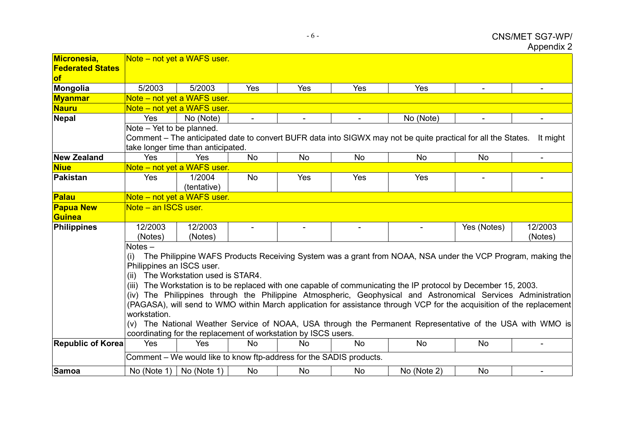| Micronesia,<br><b>Federated States</b><br><b>of</b> |                                                                                                                                                                                                                                                                                                                                                                                                                                                                                                                                                                                                                                                                                                                                                                                                                                        | Note – not yet a WAFS user.        |                |                                                                     |                          |                                                                                                               |                |                          |  |
|-----------------------------------------------------|----------------------------------------------------------------------------------------------------------------------------------------------------------------------------------------------------------------------------------------------------------------------------------------------------------------------------------------------------------------------------------------------------------------------------------------------------------------------------------------------------------------------------------------------------------------------------------------------------------------------------------------------------------------------------------------------------------------------------------------------------------------------------------------------------------------------------------------|------------------------------------|----------------|---------------------------------------------------------------------|--------------------------|---------------------------------------------------------------------------------------------------------------|----------------|--------------------------|--|
| Mongolia                                            | 5/2003                                                                                                                                                                                                                                                                                                                                                                                                                                                                                                                                                                                                                                                                                                                                                                                                                                 | 5/2003                             | Yes            | Yes                                                                 | Yes                      | Yes                                                                                                           | $\blacksquare$ | $\overline{\phantom{a}}$ |  |
| <b>Myanmar</b>                                      |                                                                                                                                                                                                                                                                                                                                                                                                                                                                                                                                                                                                                                                                                                                                                                                                                                        | Note - not yet a WAFS user.        |                |                                                                     |                          |                                                                                                               |                |                          |  |
| <b>Nauru</b>                                        |                                                                                                                                                                                                                                                                                                                                                                                                                                                                                                                                                                                                                                                                                                                                                                                                                                        | Note – not yet a WAFS user.        |                |                                                                     |                          |                                                                                                               |                |                          |  |
| Nepal                                               | Yes                                                                                                                                                                                                                                                                                                                                                                                                                                                                                                                                                                                                                                                                                                                                                                                                                                    | No (Note)                          | $\blacksquare$ | $\blacksquare$                                                      | $\blacksquare$           | No (Note)                                                                                                     | $\blacksquare$ | $\blacksquare$           |  |
|                                                     | Note - Yet to be planned.                                                                                                                                                                                                                                                                                                                                                                                                                                                                                                                                                                                                                                                                                                                                                                                                              | take longer time than anticipated. |                |                                                                     |                          | Comment – The anticipated date to convert BUFR data into SIGWX may not be quite practical for all the States. |                | It might                 |  |
| <b>New Zealand</b>                                  | Yes                                                                                                                                                                                                                                                                                                                                                                                                                                                                                                                                                                                                                                                                                                                                                                                                                                    | Yes                                | <b>No</b>      | <b>No</b>                                                           | <b>No</b>                | <b>No</b>                                                                                                     | <b>No</b>      | $\blacksquare$           |  |
| <b>Niue</b>                                         |                                                                                                                                                                                                                                                                                                                                                                                                                                                                                                                                                                                                                                                                                                                                                                                                                                        | Note - not yet a WAFS user.        |                |                                                                     |                          |                                                                                                               |                |                          |  |
| Pakistan                                            | Yes                                                                                                                                                                                                                                                                                                                                                                                                                                                                                                                                                                                                                                                                                                                                                                                                                                    | 1/2004<br>(tentative)              | <b>No</b>      | Yes                                                                 | Yes                      | Yes                                                                                                           |                |                          |  |
| Palau                                               |                                                                                                                                                                                                                                                                                                                                                                                                                                                                                                                                                                                                                                                                                                                                                                                                                                        | Note - not yet a WAFS user.        |                |                                                                     |                          |                                                                                                               |                |                          |  |
| <b>Papua New</b><br><b>Guinea</b>                   | Note - an ISCS user.                                                                                                                                                                                                                                                                                                                                                                                                                                                                                                                                                                                                                                                                                                                                                                                                                   |                                    |                |                                                                     |                          |                                                                                                               |                |                          |  |
| Philippines                                         | 12/2003<br>(Notes)                                                                                                                                                                                                                                                                                                                                                                                                                                                                                                                                                                                                                                                                                                                                                                                                                     | 12/2003<br>(Notes)                 | $\blacksquare$ | $\overline{\phantom{a}}$                                            | $\overline{\phantom{a}}$ |                                                                                                               | Yes (Notes)    | 12/2003<br>(Notes)       |  |
| <b>Republic of Korea</b>                            | $Notes -$<br>The Philippine WAFS Products Receiving System was a grant from NOAA, NSA under the VCP Program, making the<br>(i)<br>Philippines an ISCS user.<br>(ii) The Workstation used is STAR4.<br>(iii) The Workstation is to be replaced with one capable of communicating the IP protocol by December 15, 2003.<br>(iv) The Philippines through the Philippine Atmospheric, Geophysical and Astronomical Services Administration<br>(PAGASA), will send to WMO within March application for assistance through VCP for the acquisition of the replacement<br>workstation.<br>(v) The National Weather Service of NOAA, USA through the Permanent Representative of the USA with WMO is<br>coordinating for the replacement of workstation by ISCS users.<br>Yes<br><b>No</b><br>No<br>Yes<br><b>No</b><br><b>No</b><br><b>No</b> |                                    |                |                                                                     |                          |                                                                                                               |                |                          |  |
|                                                     |                                                                                                                                                                                                                                                                                                                                                                                                                                                                                                                                                                                                                                                                                                                                                                                                                                        |                                    |                | Comment – We would like to know ftp-address for the SADIS products. |                          |                                                                                                               |                |                          |  |
| Samoa                                               | No (Note 1)                                                                                                                                                                                                                                                                                                                                                                                                                                                                                                                                                                                                                                                                                                                                                                                                                            | No (Note 1)                        | No             | No                                                                  | <b>No</b>                | No (Note 2)                                                                                                   | No             |                          |  |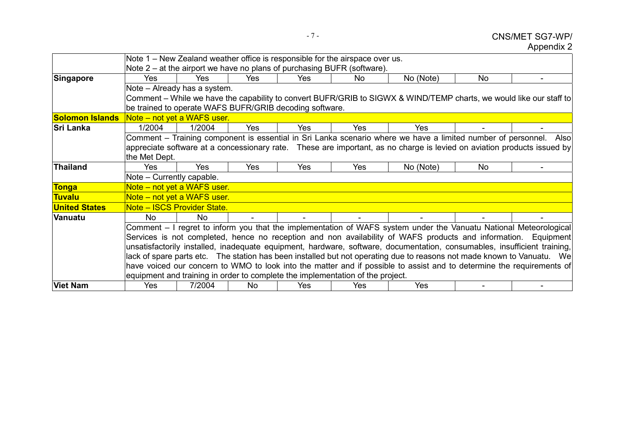# CNS/MET SG7-WP/ Appendix 2

|                        | Note 1 – New Zealand weather office is responsible for the airspace over us. |                                     |            |                                                         |                                                                                |                                                                                                                          |    |  |
|------------------------|------------------------------------------------------------------------------|-------------------------------------|------------|---------------------------------------------------------|--------------------------------------------------------------------------------|--------------------------------------------------------------------------------------------------------------------------|----|--|
|                        |                                                                              |                                     |            |                                                         | Note 2 – at the airport we have no plans of purchasing BUFR (software).        |                                                                                                                          |    |  |
| Singapore              | Yes                                                                          | Yes                                 | Yes        | Yes                                                     | No                                                                             | No (Note)                                                                                                                | No |  |
|                        |                                                                              | Note - Already has a system.        |            |                                                         |                                                                                |                                                                                                                          |    |  |
|                        |                                                                              |                                     |            |                                                         |                                                                                | Comment – While we have the capability to convert BUFR/GRIB to SIGWX & WIND/TEMP charts, we would like our staff to      |    |  |
|                        |                                                                              |                                     |            | be trained to operate WAFS BUFR/GRIB decoding software. |                                                                                |                                                                                                                          |    |  |
| <b>Solomon Islands</b> |                                                                              | Note – not yet a WAFS user.         |            |                                                         |                                                                                |                                                                                                                          |    |  |
| <b>Sri Lanka</b>       | 1/2004                                                                       | 1/2004                              | <b>Yes</b> | Yes.                                                    | Yes                                                                            | Yes                                                                                                                      |    |  |
|                        |                                                                              |                                     |            |                                                         |                                                                                | Comment – Training component is essential in Sri Lanka scenario where we have a limited number of personnel. Also        |    |  |
|                        |                                                                              |                                     |            |                                                         |                                                                                | appreciate software at a concessionary rate. These are important, as no charge is levied on aviation products issued by  |    |  |
|                        | the Met Dept.                                                                |                                     |            |                                                         |                                                                                |                                                                                                                          |    |  |
| <b>Thailand</b>        | <b>Yes</b>                                                                   | Yes                                 | Yes        | Yes                                                     | Yes                                                                            | No (Note)                                                                                                                | No |  |
|                        | Note - Currently capable.                                                    |                                     |            |                                                         |                                                                                |                                                                                                                          |    |  |
| <b>Tonga</b>           |                                                                              | <u> Note – not yet a WAFS user.</u> |            |                                                         |                                                                                |                                                                                                                          |    |  |
| <b>Tuvalu</b>          |                                                                              | Note – not yet a WAFS user.         |            |                                                         |                                                                                |                                                                                                                          |    |  |
| <b>United States</b>   |                                                                              | Note - ISCS Provider State.         |            |                                                         |                                                                                |                                                                                                                          |    |  |
| Vanuatu                | No.                                                                          | No.                                 |            |                                                         |                                                                                |                                                                                                                          |    |  |
|                        |                                                                              |                                     |            |                                                         |                                                                                | Comment – I regret to inform you that the implementation of WAFS system under the Vanuatu National Meteorological        |    |  |
|                        |                                                                              |                                     |            |                                                         |                                                                                | Services is not completed, hence no reception and non availability of WAFS products and information. Equipment           |    |  |
|                        |                                                                              |                                     |            |                                                         |                                                                                | unsatisfactorily installed, inadequate equipment, hardware, software, documentation, consumables, insufficient training, |    |  |
|                        |                                                                              |                                     |            |                                                         |                                                                                | lack of spare parts etc. The station has been installed but not operating due to reasons not made known to Vanuatu. We   |    |  |
|                        |                                                                              |                                     |            |                                                         |                                                                                | have voiced our concern to WMO to look into the matter and if possible to assist and to determine the requirements of    |    |  |
|                        |                                                                              |                                     |            |                                                         | equipment and training in order to complete the implementation of the project. |                                                                                                                          |    |  |
| <b>Viet Nam</b>        | Yes                                                                          | 7/2004                              | No.        | Yes                                                     | Yes                                                                            | <b>Yes</b>                                                                                                               |    |  |